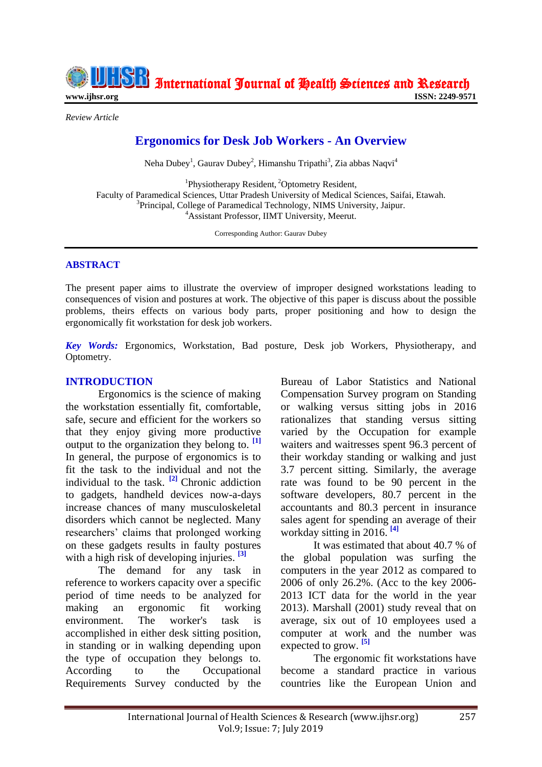International Journal of Health Sciences and Research

**www.ijhsr.org ISSN: 2249-9571**

*Review Article*

# **Ergonomics for Desk Job Workers - An Overview**

Neha Dubey<sup>1</sup>, Gaurav Dubey<sup>2</sup>, Himanshu Tripathi<sup>3</sup>, Zia abbas Naqvi<sup>4</sup>

<sup>1</sup>Physiotherapy Resident, <sup>2</sup>Optometry Resident, Faculty of Paramedical Sciences, Uttar Pradesh University of Medical Sciences, Saifai, Etawah. <sup>3</sup>Principal, College of Paramedical Technology, NIMS University, Jaipur. <sup>4</sup>Assistant Professor, IIMT University, Meerut.

Corresponding Author: Gaurav Dubey

#### **ABSTRACT**

The present paper aims to illustrate the overview of improper designed workstations leading to consequences of vision and postures at work. The objective of this paper is discuss about the possible problems, theirs effects on various body parts, proper positioning and how to design the ergonomically fit workstation for desk job workers.

*Key Words:* Ergonomics, Workstation, Bad posture, Desk job Workers, Physiotherapy, and Optometry.

#### **INTRODUCTION**

Ergonomics is the science of making the workstation essentially fit, comfortable, safe, secure and efficient for the workers so that they enjoy giving more productive output to the organization they belong to. **[1]**  In general, the purpose of ergonomics is to fit the task to the individual and not the individual to the task. **[2]** Chronic addiction to gadgets, handheld devices now-a-days increase chances of many musculoskeletal disorders which cannot be neglected. Many researchers' claims that prolonged working on these gadgets results in faulty postures with a high risk of developing injuries. **[3]**

The demand for any task in reference to workers capacity over a specific period of time needs to be analyzed for making an ergonomic fit working environment. The worker's task is accomplished in either desk sitting position, in standing or in walking depending upon the type of occupation they belongs to. According to the Occupational Requirements Survey conducted by the Bureau of Labor Statistics and National Compensation Survey program on Standing or walking versus sitting jobs in 2016 rationalizes that standing versus sitting varied by the Occupation for example waiters and waitresses spent 96.3 percent of their workday standing or walking and just 3.7 percent sitting. Similarly, the average rate was found to be 90 percent in the software developers, 80.7 percent in the accountants and 80.3 percent in insurance sales agent for spending an average of their workday sitting in 2016. **[4]**

It was estimated that about 40.7 % of the global population was surfing the computers in the year 2012 as compared to 2006 of only 26.2%. (Acc to the key 2006- 2013 ICT data for the world in the year 2013). Marshall (2001) study reveal that on average, six out of 10 employees used a computer at work and the number was expected to grow. **[5]**

The ergonomic fit workstations have become a standard practice in various countries like the European Union and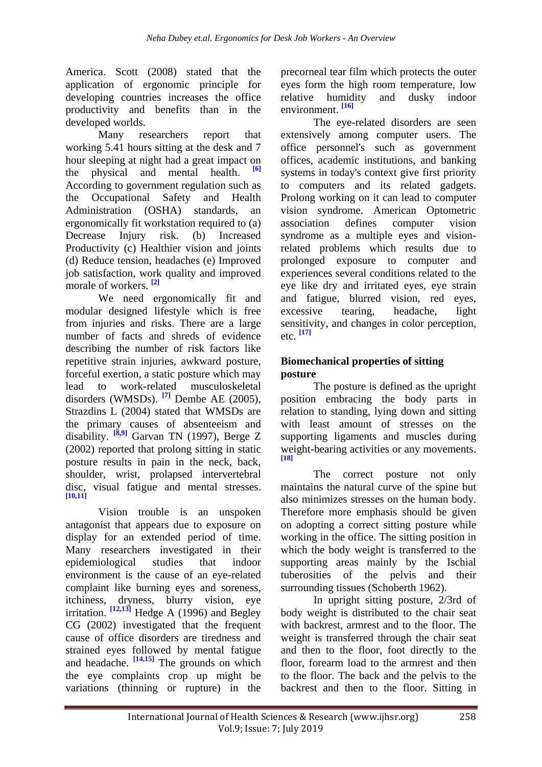America. Scott (2008) stated that the application of ergonomic principle for developing countries increases the office productivity and benefits than in the developed worlds.

Many researchers report that working 5.41 hours sitting at the desk and 7 hour sleeping at night had a great impact on the physical and mental health. **[6]** According to government regulation such as the Occupational Safety and Health Administration (OSHA) standards, an ergonomically fit workstation required to (a) Decrease Injury risk. (b) Increased Productivity (c) Healthier vision and joints (d) Reduce tension, headaches (e) Improved job satisfaction, work quality and improved morale of workers. **[2]**

We need ergonomically fit and modular designed lifestyle which is free from injuries and risks. There are a large number of facts and shreds of evidence describing the number of risk factors like repetitive strain injuries, awkward posture, forceful exertion, a static posture which may lead to work-related musculoskeletal disorders (WMSDs). **[7]** Dembe AE (2005), Strazdins L (2004) stated that WMSDs are the primary causes of absenteeism and disability. **[8,9]** Garvan TN (1997), Berge Z (2002) reported that prolong sitting in static posture results in pain in the neck, back, shoulder, wrist, prolapsed intervertebral disc, visual fatigue and mental stresses. **[10,11]**

Vision trouble is an unspoken antagonist that appears due to exposure on display for an extended period of time. Many researchers investigated in their epidemiological studies that indoor environment is the cause of an eye-related complaint like burning eyes and soreness, itchiness, dryness, blurry vision, eye irritation.  $\left[\frac{12,13}{12,13}\right]$  Hedge A (1996) and Begley CG (2002) investigated that the frequent cause of office disorders are tiredness and strained eyes followed by mental fatigue and headache. **[14,15]** The grounds on which the eye complaints crop up might be variations (thinning or rupture) in the

precorneal tear film which protects the outer eyes form the high room temperature, low relative humidity and dusky indoor environment. **[16]**

The eye-related disorders are seen extensively among computer users. The office personnel's such as government offices, academic institutions, and banking systems in today's context give first priority to computers and its related gadgets. Prolong working on it can lead to computer vision syndrome. American Optometric association defines computer vision syndrome as a multiple eyes and visionrelated problems which results due to prolonged exposure to computer and experiences several conditions related to the eye like dry and irritated eyes, eye strain and fatigue, blurred vision, red eyes, excessive tearing, headache, light sensitivity, and changes in color perception, etc. **[17]**

## **Biomechanical properties of sitting posture**

The posture is defined as the upright position embracing the body parts in relation to standing, lying down and sitting with least amount of stresses on the supporting ligaments and muscles during weight-bearing activities or any movements. **[18]**

The correct posture not only maintains the natural curve of the spine but also minimizes stresses on the human body. Therefore more emphasis should be given on adopting a correct sitting posture while working in the office. The sitting position in which the body weight is transferred to the supporting areas mainly by the Ischial tuberosities of the pelvis and their surrounding tissues (Schoberth 1962).

In upright sitting posture, 2/3rd of body weight is distributed to the chair seat with backrest, armrest and to the floor. The weight is transferred through the chair seat and then to the floor, foot directly to the floor, forearm load to the armrest and then to the floor. The back and the pelvis to the backrest and then to the floor. Sitting in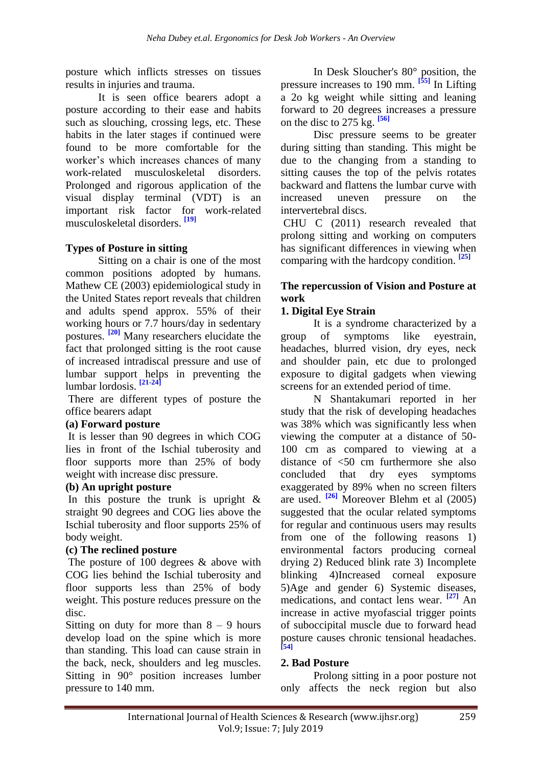posture which inflicts stresses on tissues results in injuries and trauma.

It is seen office bearers adopt a posture according to their ease and habits such as slouching, crossing legs, etc. These habits in the later stages if continued were found to be more comfortable for the worker's which increases chances of many work-related musculoskeletal disorders. Prolonged and rigorous application of the visual display terminal (VDT) is an important risk factor for work-related musculoskeletal disorders. **[19]**

## **Types of Posture in sitting**

Sitting on a chair is one of the most common positions adopted by humans. Mathew CE (2003) epidemiological study in the United States report reveals that children and adults spend approx. 55% of their working hours or 7.7 hours/day in sedentary postures. **[20]** Many researchers elucidate the fact that prolonged sitting is the root cause of increased intradiscal pressure and use of lumbar support helps in preventing the lumbar lordosis. **[21-24]**

There are different types of posture the office bearers adapt

## **(a) Forward posture**

It is lesser than 90 degrees in which COG lies in front of the Ischial tuberosity and floor supports more than 25% of body weight with increase disc pressure.

#### **(b) An upright posture**

In this posture the trunk is upright  $\&$ straight 90 degrees and COG lies above the Ischial tuberosity and floor supports 25% of body weight.

## **(c) The reclined posture**

The posture of 100 degrees & above with COG lies behind the Ischial tuberosity and floor supports less than 25% of body weight. This posture reduces pressure on the disc.

Sitting on duty for more than  $8 - 9$  hours develop load on the spine which is more than standing. This load can cause strain in the back, neck, shoulders and leg muscles. Sitting in 90° position increases lumber pressure to 140 mm.

In Desk Sloucher's 80° position, the pressure increases to 190 mm. **[55]** In Lifting a 2o kg weight while sitting and leaning forward to 20 degrees increases a pressure on the disc to 275 kg. **[56]**

Disc pressure seems to be greater during sitting than standing. This might be due to the changing from a standing to sitting causes the top of the pelvis rotates backward and flattens the lumbar curve with increased uneven pressure on the intervertebral discs.

CHU C (2011) research revealed that prolong sitting and working on computers has significant differences in viewing when comparing with the hardcopy condition. **[25]**

## **The repercussion of Vision and Posture at work**

## **1. Digital Eye Strain**

It is a syndrome characterized by a group of symptoms like eyestrain, headaches, blurred vision, dry eyes, neck and shoulder pain, etc due to prolonged exposure to digital gadgets when viewing screens for an extended period of time.

N Shantakumari reported in her study that the risk of developing headaches was 38% which was significantly less when viewing the computer at a distance of 50- 100 cm as compared to viewing at a distance of <50 cm furthermore she also concluded that dry eyes symptoms exaggerated by 89% when no screen filters are used. **[26]** Moreover Blehm et al (2005) suggested that the ocular related symptoms for regular and continuous users may results from one of the following reasons 1) environmental factors producing corneal drying 2) Reduced blink rate 3) Incomplete blinking 4)Increased corneal exposure 5)Age and gender 6) Systemic diseases, medications, and contact lens wear. **[27]** An increase in active myofascial trigger points of suboccipital muscle due to forward head posture causes chronic tensional headaches. **[54]**

## **2. Bad Posture**

Prolong sitting in a poor posture not only affects the neck region but also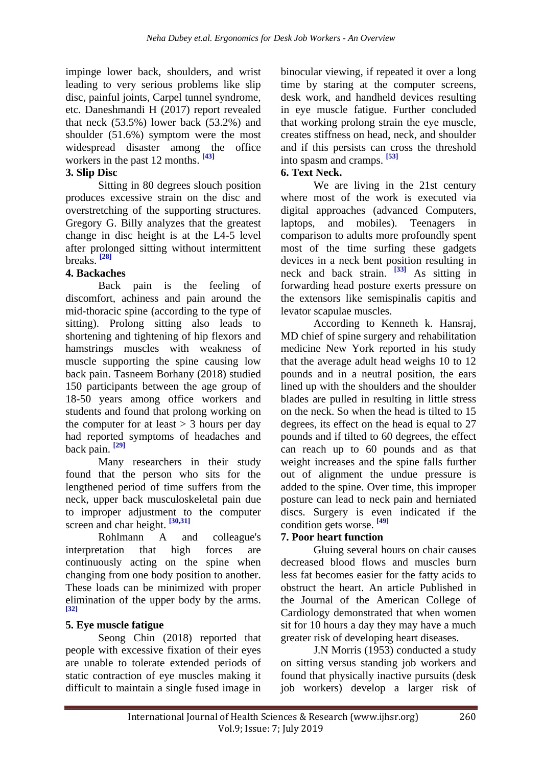impinge lower back, shoulders, and wrist leading to very serious problems like slip disc, painful joints, Carpel tunnel syndrome, etc. Daneshmandi H (2017) report revealed that neck  $(53.5\%)$  lower back  $(53.2\%)$  and shoulder (51.6%) symptom were the most widespread disaster among the office workers in the past 12 months. **[43]**

## **3. Slip Disc**

Sitting in 80 degrees slouch position produces excessive strain on the disc and overstretching of the supporting structures. Gregory G. Billy analyzes that the greatest change in disc height is at the L4-5 level after prolonged sitting without intermittent breaks. **[28]**

## **4. Backaches**

Back pain is the feeling of discomfort, achiness and pain around the mid-thoracic spine (according to the type of sitting). Prolong sitting also leads to shortening and tightening of hip flexors and hamstrings muscles with weakness of muscle supporting the spine causing low back pain. Tasneem Borhany (2018) studied 150 participants between the age group of 18-50 years among office workers and students and found that prolong working on the computer for at least  $> 3$  hours per day had reported symptoms of headaches and back pain. **[29]**

Many researchers in their study found that the person who sits for the lengthened period of time suffers from the neck, upper back musculoskeletal pain due to improper adjustment to the computer screen and char height. **[30,31]**

Rohlmann A and colleague's interpretation that high forces are continuously acting on the spine when changing from one body position to another. These loads can be minimized with proper elimination of the upper body by the arms. **[32]**

## **5. Eye muscle fatigue**

Seong Chin (2018) reported that people with excessive fixation of their eyes are unable to tolerate extended periods of static contraction of eye muscles making it difficult to maintain a single fused image in

binocular viewing, if repeated it over a long time by staring at the computer screens, desk work, and handheld devices resulting in eye muscle fatigue. Further concluded that working prolong strain the eye muscle, creates stiffness on head, neck, and shoulder and if this persists can cross the threshold into spasm and cramps. **[53]**

## **6. Text Neck.**

We are living in the 21st century where most of the work is executed via digital approaches (advanced Computers, laptops, and mobiles). Teenagers in comparison to adults more profoundly spent most of the time surfing these gadgets devices in a neck bent position resulting in neck and back strain. **[33]** As sitting in forwarding head posture exerts pressure on the extensors like semispinalis capitis and levator scapulae muscles.

According to Kenneth k. Hansraj, MD chief of spine surgery and rehabilitation medicine New York reported in his study that the average adult head weighs 10 to 12 pounds and in a neutral position, the ears lined up with the shoulders and the shoulder blades are pulled in resulting in little stress on the neck. So when the head is tilted to 15 degrees, its effect on the head is equal to 27 pounds and if tilted to 60 degrees, the effect can reach up to 60 pounds and as that weight increases and the spine falls further out of alignment the undue pressure is added to the spine. Over time, this improper posture can lead to neck pain and herniated discs. Surgery is even indicated if the condition gets worse. **[49]**

## **7. Poor heart function**

Gluing several hours on chair causes decreased blood flows and muscles burn less fat becomes easier for the fatty acids to obstruct the heart. An article Published in the Journal of the American College of Cardiology demonstrated that when women sit for 10 hours a day they may have a much greater risk of developing heart diseases.

J.N Morris (1953) conducted a study on sitting versus standing job workers and found that physically inactive pursuits (desk job workers) develop a larger risk of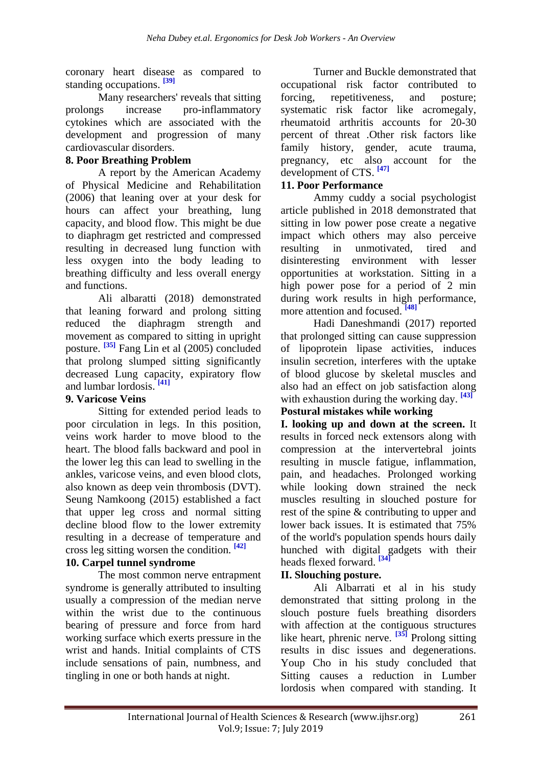coronary heart disease as compared to standing occupations. **[39]**

Many researchers' reveals that sitting prolongs increase pro-inflammatory cytokines which are associated with the development and progression of many cardiovascular disorders.

## **8. Poor Breathing Problem**

A report by the American Academy of Physical Medicine and Rehabilitation (2006) that leaning over at your desk for hours can affect your breathing, lung capacity, and blood flow. This might be due to diaphragm get restricted and compressed resulting in decreased lung function with less oxygen into the body leading to breathing difficulty and less overall energy and functions.

Ali albaratti (2018) demonstrated that leaning forward and prolong sitting reduced the diaphragm strength and movement as compared to sitting in upright posture. <sup>[35]</sup> Fang Lin et al (2005) concluded that prolong slumped sitting significantly decreased Lung capacity, expiratory flow and lumbar lordosis. **[41]**

## **9. Varicose Veins**

Sitting for extended period leads to poor circulation in legs. In this position, veins work harder to move blood to the heart. The blood falls backward and pool in the lower leg this can lead to swelling in the ankles, varicose veins, and even blood clots, also known as deep vein thrombosis (DVT). Seung Namkoong (2015) established a fact that upper leg cross and normal sitting decline blood flow to the lower extremity resulting in a decrease of temperature and cross leg sitting worsen the condition. **[42]**

## **10. Carpel tunnel syndrome**

The most common nerve entrapment syndrome is generally attributed to insulting usually a compression of the median nerve within the wrist due to the continuous bearing of pressure and force from hard working surface which exerts pressure in the wrist and hands. Initial complaints of CTS include sensations of pain, numbness, and tingling in one or both hands at night.

Turner and Buckle demonstrated that occupational risk factor contributed to forcing, repetitiveness, and posture; systematic risk factor like acromegaly, rheumatoid arthritis accounts for 20-30 percent of threat .Other risk factors like family history, gender, acute trauma, pregnancy, etc also account for the development of CTS. **[47]**

#### **11. Poor Performance**

Ammy cuddy a social psychologist article published in 2018 demonstrated that sitting in low power pose create a negative impact which others may also perceive resulting in unmotivated, tired and disinteresting environment with lesser opportunities at workstation. Sitting in a high power pose for a period of 2 min during work results in high performance, more attention and focused. **[48]**

Hadi Daneshmandi (2017) reported that prolonged sitting can cause suppression of lipoprotein lipase activities, induces insulin secretion, interferes with the uptake of blood glucose by skeletal muscles and also had an effect on job satisfaction along with exhaustion during the working day. **[43]**

# **Postural mistakes while working**

**I. looking up and down at the screen.** It results in forced neck extensors along with compression at the intervertebral joints resulting in muscle fatigue, inflammation, pain, and headaches. Prolonged working while looking down strained the neck muscles resulting in slouched posture for rest of the spine & contributing to upper and lower back issues. It is estimated that 75% of the world's population spends hours daily hunched with digital gadgets with their heads flexed forward. **[34]**

# **II. Slouching posture.**

Ali Albarrati et al in his study demonstrated that sitting prolong in the slouch posture fuels breathing disorders with affection at the contiguous structures like heart, phrenic nerve. <sup>[35]</sup> Prolong sitting results in disc issues and degenerations. Youp Cho in his study concluded that Sitting causes a reduction in Lumber lordosis when compared with standing. It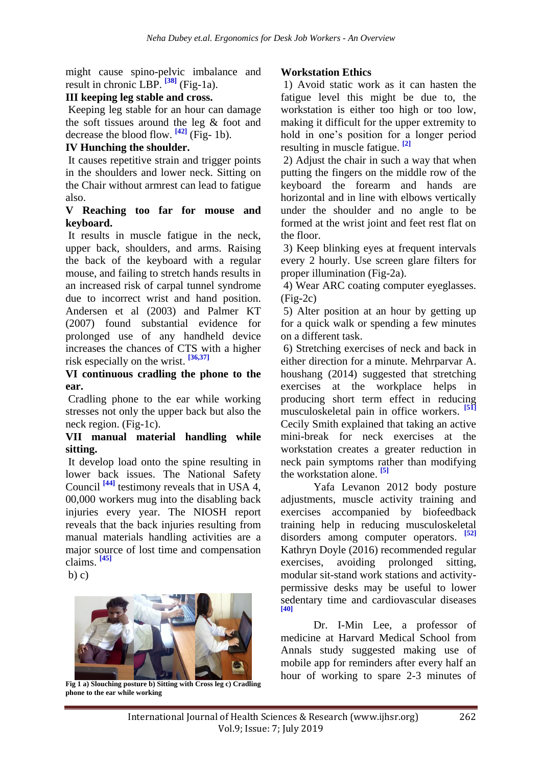might cause spino-pelvic imbalance and result in chronic LBP. <sup>[38]</sup> (Fig-1a).

#### **III keeping leg stable and cross.**

Keeping leg stable for an hour can damage the soft tissues around the leg & foot and decrease the blood flow.  $[42]$  (Fig- 1b).

#### **IV Hunching the shoulder.**

It causes repetitive strain and trigger points in the shoulders and lower neck. Sitting on the Chair without armrest can lead to fatigue also.

#### **V Reaching too far for mouse and keyboard.**

It results in muscle fatigue in the neck, upper back, shoulders, and arms. Raising the back of the keyboard with a regular mouse, and failing to stretch hands results in an increased risk of carpal tunnel syndrome due to incorrect wrist and hand position. Andersen et al (2003) and Palmer KT (2007) found substantial evidence for prolonged use of any handheld device increases the chances of CTS with a higher risk especially on the wrist. **[36,37]**

#### **VI continuous cradling the phone to the ear.**

Cradling phone to the ear while working stresses not only the upper back but also the neck region. (Fig-1c).

#### **VII manual material handling while sitting.**

It develop load onto the spine resulting in lower back issues. The National Safety Council **[44]** testimony reveals that in USA 4, 00,000 workers mug into the disabling back injuries every year. The NIOSH report reveals that the back injuries resulting from manual materials handling activities are a major source of lost time and compensation claims. **[45]**

 $b) c)$ 



**Fig 1 a) Slouching posture b) Sitting with Cross leg c) Cradling phone to the ear while working** 

## **Workstation Ethics**

1) Avoid static work as it can hasten the fatigue level this might be due to, the workstation is either too high or too low, making it difficult for the upper extremity to hold in one's position for a longer period resulting in muscle fatigue. **[2]**

2) Adjust the chair in such a way that when putting the fingers on the middle row of the keyboard the forearm and hands are horizontal and in line with elbows vertically under the shoulder and no angle to be formed at the wrist joint and feet rest flat on the floor.

3) Keep blinking eyes at frequent intervals every 2 hourly. Use screen glare filters for proper illumination (Fig-2a).

4) Wear ARC coating computer eyeglasses.  $(Fig-2c)$ 

5) Alter position at an hour by getting up for a quick walk or spending a few minutes on a different task.

6) Stretching exercises of neck and back in either direction for a minute. Mehrparvar A. houshang (2014) suggested that stretching exercises at the workplace helps in producing short term effect in reducing musculoskeletal pain in office workers. **[51]** Cecily Smith explained that taking an active mini-break for neck exercises at the workstation creates a greater reduction in neck pain symptoms rather than modifying the workstation alone. **[5]**

Yafa Levanon 2012 body posture adjustments, muscle activity training and exercises accompanied by biofeedback training help in reducing musculoskeletal disorders among computer operators. **[52]** Kathryn Doyle (2016) recommended regular exercises, avoiding prolonged sitting, modular sit-stand work stations and activitypermissive desks may be useful to lower sedentary time and cardiovascular diseases **[40]**

Dr. I-Min Lee, a professor of medicine at Harvard Medical School from Annals study suggested making use of mobile app for reminders after every half an hour of working to spare 2-3 minutes of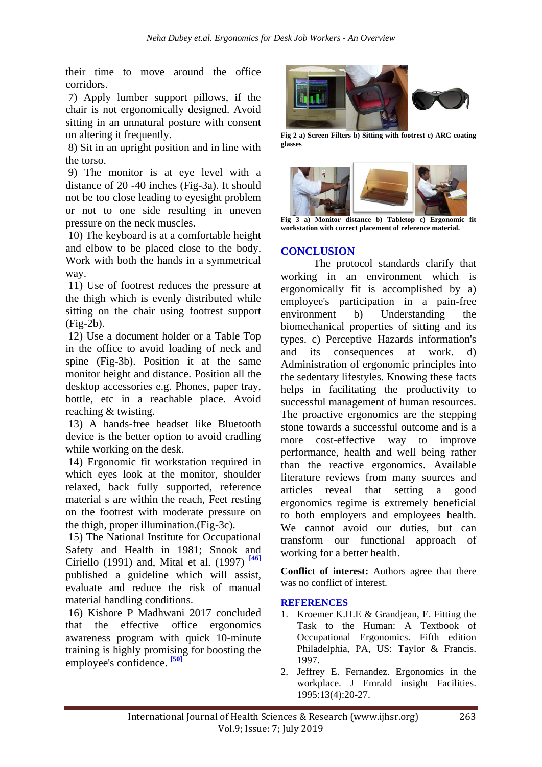their time to move around the office corridors.

7) Apply lumber support pillows, if the chair is not ergonomically designed. Avoid sitting in an unnatural posture with consent on altering it frequently.

8) Sit in an upright position and in line with the torso.

9) The monitor is at eye level with a distance of 20 -40 inches (Fig-3a). It should not be too close leading to eyesight problem or not to one side resulting in uneven pressure on the neck muscles.

10) The keyboard is at a comfortable height and elbow to be placed close to the body. Work with both the hands in a symmetrical way.

11) Use of footrest reduces the pressure at the thigh which is evenly distributed while sitting on the chair using footrest support (Fig-2b).

12) Use a document holder or a Table Top in the office to avoid loading of neck and spine (Fig-3b). Position it at the same monitor height and distance. Position all the desktop accessories e.g. Phones, paper tray, bottle, etc in a reachable place. Avoid reaching & twisting.

13) A hands-free headset like Bluetooth device is the better option to avoid cradling while working on the desk.

14) Ergonomic fit workstation required in which eyes look at the monitor, shoulder relaxed, back fully supported, reference material s are within the reach, Feet resting on the footrest with moderate pressure on the thigh, proper illumination.(Fig-3c).

15) The National Institute for Occupational Safety and Health in 1981; Snook and Ciriello (1991) and, Mital et al. (1997) **[46]** published a guideline which will assist, evaluate and reduce the risk of manual material handling conditions.

16) Kishore P Madhwani 2017 concluded that the effective office ergonomics awareness program with quick 10-minute training is highly promising for boosting the employee's confidence.<sup>[50]</sup>



**Fig 2 a) Screen Filters b) Sitting with footrest c) ARC coating glasses**



**Fig 3 a) Monitor distance b) Tabletop c) Ergonomic fit workstation with correct placement of reference material.**

#### **CONCLUSION**

The protocol standards clarify that working in an environment which is ergonomically fit is accomplished by a) employee's participation in a pain-free environment b) Understanding the biomechanical properties of sitting and its types. c) Perceptive Hazards information's and its consequences at work. d) Administration of ergonomic principles into the sedentary lifestyles. Knowing these facts helps in facilitating the productivity to successful management of human resources. The proactive ergonomics are the stepping stone towards a successful outcome and is a more cost-effective way to improve performance, health and well being rather than the reactive ergonomics. Available literature reviews from many sources and articles reveal that setting a good ergonomics regime is extremely beneficial to both employers and employees health. We cannot avoid our duties, but can transform our functional approach of working for a better health.

**Conflict of interest:** Authors agree that there was no conflict of interest.

#### **REFERENCES**

- 1. Kroemer K.H.E & Grandjean, E. Fitting the Task to the Human: A Textbook of Occupational Ergonomics. Fifth edition Philadelphia, PA, US: Taylor & Francis. 1997.
- 2. Jeffrey E. Fernandez. Ergonomics in the workplace. J Emrald insight Facilities. 1995:13(4):20-27.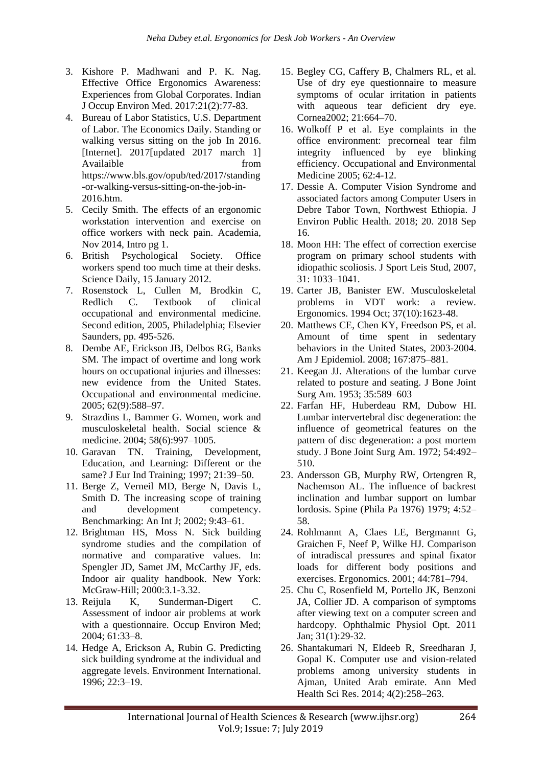- 3. Kishore P. Madhwani and P. K. Nag. Effective Office Ergonomics Awareness: Experiences from Global Corporates. Indian J Occup Environ Med. 2017:21(2):77-83.
- 4. Bureau of Labor Statistics, U.S. Department of Labor. The Economics Daily. Standing or walking versus sitting on the job In 2016. [Internet]. 2017[updated 2017 march 1] Availaible from from https://www.bls.gov/opub/ted/2017/standing -or-walking-versus-sitting-on-the-job-in-2016.htm.
- 5. Cecily Smith. The effects of an ergonomic workstation intervention and exercise on office workers with neck pain. Academia, Nov 2014, Intro pg 1.
- 6. British Psychological Society. Office workers spend too much time at their desks. Science Daily, 15 January 2012.
- 7. Rosenstock L, Cullen M, Brodkin C, Redlich C. Textbook of clinical occupational and environmental medicine. Second edition, 2005, Philadelphia; Elsevier Saunders, pp. 495-526.
- 8. Dembe AE, Erickson JB, Delbos RG, Banks SM. The impact of overtime and long work hours on occupational injuries and illnesses: new evidence from the United States. Occupational and environmental medicine. 2005; 62(9):588–97.
- 9. Strazdins L, Bammer G. Women, work and musculoskeletal health. Social science & medicine. 2004; 58(6):997–1005.
- 10. Garavan TN. Training, Development, Education, and Learning: Different or the same? J Eur Ind Training; 1997; 21:39–50.
- 11. Berge Z, Verneil MD, Berge N, Davis L, Smith D. The increasing scope of training and development competency. Benchmarking: An Int J; 2002; 9:43–61.
- 12. Brightman HS, Moss N. Sick building syndrome studies and the compilation of normative and comparative values. In: Spengler JD, Samet JM, McCarthy JF, eds. Indoor air quality handbook. New York: McGraw-Hill; 2000:3.1-3.32.
- 13. Reijula K, Sunderman-Digert C. Assessment of indoor air problems at work with a questionnaire. Occup Environ Med; 2004; 61:33–8.
- 14. Hedge A, Erickson A, Rubin G. Predicting sick building syndrome at the individual and aggregate levels. Environment International. 1996; 22:3–19.
- 15. Begley CG, Caffery B, Chalmers RL, et al. Use of dry eye questionnaire to measure symptoms of ocular irritation in patients with aqueous tear deficient dry eye. Cornea2002; 21:664–70.
- 16. Wolkoff P et al. Eye complaints in the office environment: precorneal tear film integrity influenced by eye blinking efficiency. Occupational and Environmental Medicine 2005; 62:4-12.
- 17. Dessie A. Computer Vision Syndrome and associated factors among Computer Users in Debre Tabor Town, Northwest Ethiopia. J Environ Public Health. 2018; 20. 2018 Sep 16.
- 18. Moon HH: The effect of correction exercise program on primary school students with idiopathic scoliosis. J Sport Leis Stud, 2007, 31: 1033–1041.
- 19. Carter JB, Banister EW. Musculoskeletal problems in VDT work: a review. Ergonomics. 1994 Oct; 37(10):1623-48.
- 20. Matthews CE, Chen KY, Freedson PS, et al. Amount of time spent in sedentary behaviors in the United States, 2003-2004. Am J Epidemiol. 2008; 167:875–881.
- 21. Keegan JJ. Alterations of the lumbar curve related to posture and seating. J Bone Joint Surg Am. 1953; 35:589–603
- 22. Farfan HF, Huberdeau RM, Dubow HI. Lumbar intervertebral disc degeneration: the influence of geometrical features on the pattern of disc degeneration: a post mortem study. J Bone Joint Surg Am. 1972; 54:492– 510.
- 23. Andersson GB, Murphy RW, Ortengren R, Nachemson AL. The influence of backrest inclination and lumbar support on lumbar lordosis. Spine (Phila Pa 1976) 1979; 4:52– 58.
- 24. Rohlmannt A, Claes LE, Bergmannt G, Graichen F, Neef P, Wilke HJ. Comparison of intradiscal pressures and spinal fixator loads for different body positions and exercises. Ergonomics. 2001; 44:781–794.
- 25. Chu C, Rosenfield M, Portello JK, Benzoni JA, Collier JD. A comparison of symptoms after viewing text on a computer screen and hardcopy. Ophthalmic Physiol Opt. 2011 Jan; 31(1):29-32.
- 26. Shantakumari N, Eldeeb R, Sreedharan J, Gopal K. Computer use and vision-related problems among university students in Ajman, United Arab emirate. Ann Med Health Sci Res. 2014; 4(2):258–263.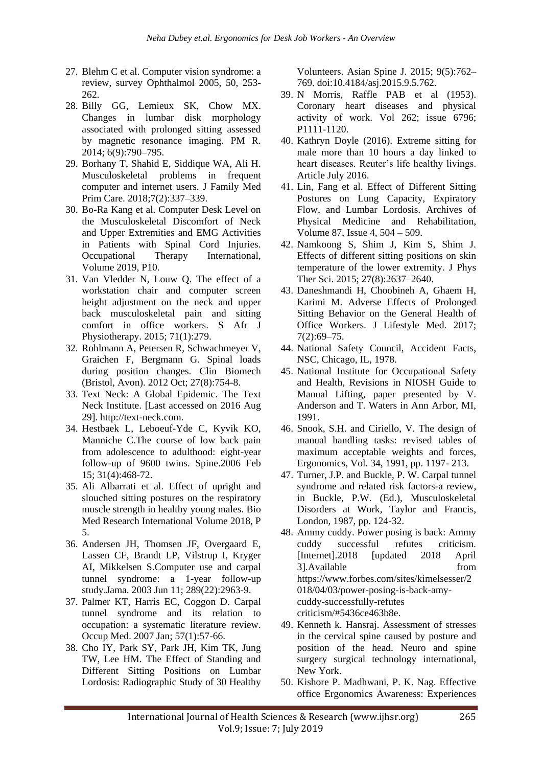- 27. Blehm C et al. Computer vision syndrome: a review, survey Ophthalmol 2005, 50, 253- 262.
- 28. Billy GG, Lemieux SK, Chow MX. Changes in lumbar disk morphology associated with prolonged sitting assessed by magnetic resonance imaging. PM R. 2014; 6(9):790–795.
- 29. Borhany T, Shahid E, Siddique WA, Ali H. Musculoskeletal problems in frequent computer and internet users. J Family Med Prim Care. 2018;7(2):337–339.
- 30. Bo-Ra Kang et al. Computer Desk Level on the Musculoskeletal Discomfort of Neck and Upper Extremities and EMG Activities in Patients with Spinal Cord Injuries. Occupational Therapy International, Volume 2019, P10.
- 31. Van Vledder N, Louw Q. The effect of a workstation chair and computer screen height adjustment on the neck and upper back musculoskeletal pain and sitting comfort in office workers. S Afr J Physiotherapy. 2015; 71(1):279.
- 32. Rohlmann A, Petersen R, Schwachmeyer V, Graichen F, Bergmann G. Spinal loads during position changes. Clin Biomech (Bristol, Avon). 2012 Oct; 27(8):754-8.
- 33. Text Neck: A Global Epidemic. The Text Neck Institute. [Last accessed on 2016 Aug 29]. http://text-neck.com.
- 34. Hestbaek L, Leboeuf-Yde C, Kyvik KO, Manniche C.The course of low back pain from adolescence to adulthood: eight-year follow-up of 9600 twins. Spine.2006 Feb 15; 31(4):468-72.
- 35. Ali Albarrati et al. Effect of upright and slouched sitting postures on the respiratory muscle strength in healthy young males. Bio Med Research International Volume 2018, P 5.
- 36. Andersen JH, Thomsen JF, Overgaard E, Lassen CF, Brandt LP, Vilstrup I, Kryger AI, Mikkelsen S.Computer use and carpal tunnel syndrome: a 1-year follow-up study.Jama. 2003 Jun 11; 289(22):2963-9.
- 37. Palmer KT, Harris EC, Coggon D. Carpal tunnel syndrome and its relation to occupation: a systematic literature review. Occup Med. 2007 Jan; 57(1):57-66.
- 38. Cho IY, Park SY, Park JH, Kim TK, Jung TW, Lee HM. The Effect of Standing and Different Sitting Positions on Lumbar Lordosis: Radiographic Study of 30 Healthy

Volunteers. Asian Spine J. 2015; 9(5):762– 769. doi:10.4184/asj.2015.9.5.762.

- 39. N Morris, Raffle PAB et al (1953). Coronary heart diseases and physical activity of work. Vol 262; issue 6796; P1111-1120.
- 40. Kathryn Doyle (2016). Extreme sitting for male more than 10 hours a day linked to heart diseases. Reuter's life healthy livings. Article July 2016.
- 41. Lin, Fang et al. Effect of Different Sitting Postures on Lung Capacity, Expiratory Flow, and Lumbar Lordosis. Archives of Physical Medicine and Rehabilitation, Volume 87, Issue 4, 504 – 509.
- 42. Namkoong S, Shim J, Kim S, Shim J. Effects of different sitting positions on skin temperature of the lower extremity. J Phys Ther Sci. 2015; 27(8):2637–2640.
- 43. Daneshmandi H, Choobineh A, Ghaem H, Karimi M. Adverse Effects of Prolonged Sitting Behavior on the General Health of Office Workers. J Lifestyle Med. 2017; 7(2):69–75.
- 44. National Safety Council, Accident Facts, NSC, Chicago, IL, 1978.
- 45. National Institute for Occupational Safety and Health, Revisions in NIOSH Guide to Manual Lifting, paper presented by V. Anderson and T. Waters in Ann Arbor, MI, 1991.
- 46. Snook, S.H. and Ciriello, V. The design of manual handling tasks: revised tables of maximum acceptable weights and forces, Ergonomics, Vol. 34, 1991, pp. 1197- 213.
- 47. Turner, J.P. and Buckle, P. W. Carpal tunnel syndrome and related risk factors-a review, in Buckle, P.W. (Ed.), Musculoskeletal Disorders at Work, Taylor and Francis, London, 1987, pp. 124-32.
- 48. Ammy cuddy. Power posing is back: Ammy cuddy successful refutes criticism. [Internet].2018 [updated 2018 April 3].Available from https://www.forbes.com/sites/kimelsesser/2 018/04/03/power-posing-is-back-amycuddy-successfully-refutes criticism/#5436ce463b8e.
- 49. Kenneth k. Hansraj. Assessment of stresses in the cervical spine caused by posture and position of the head. Neuro and spine surgery surgical technology international, New York.
- 50. Kishore P. Madhwani, P. K. Nag. Effective office Ergonomics Awareness: Experiences